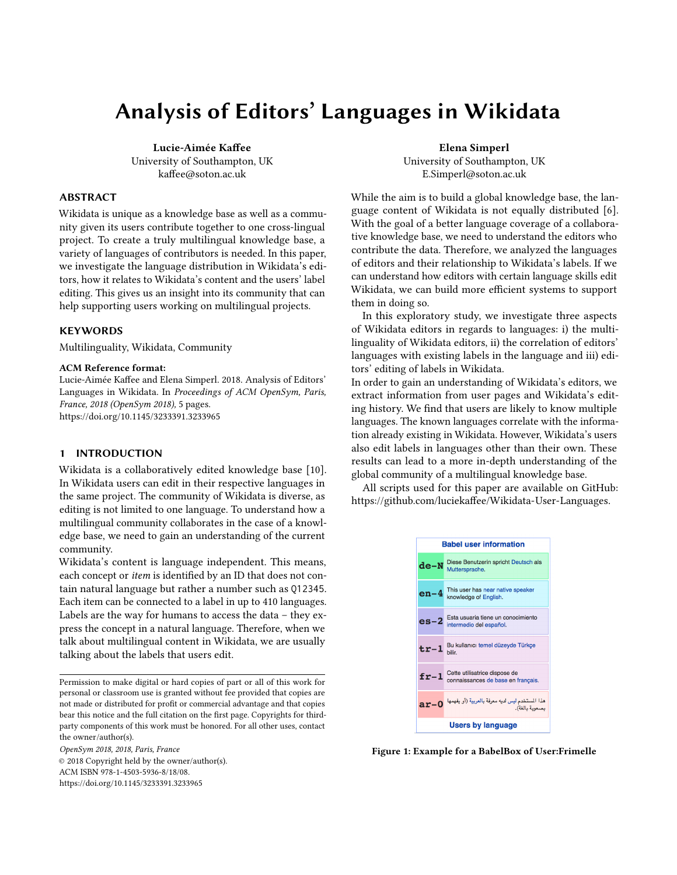# Analysis of Editors' Languages in Wikidata

Lucie-Aimée Kaffee University of Southampton, UK kaffee@soton.ac.uk

# ABSTRACT

Wikidata is unique as a knowledge base as well as a community given its users contribute together to one cross-lingual project. To create a truly multilingual knowledge base, a variety of languages of contributors is needed. In this paper, we investigate the language distribution in Wikidata's editors, how it relates to Wikidata's content and the users' label editing. This gives us an insight into its community that can help supporting users working on multilingual projects.

# **KEYWORDS**

Multilinguality, Wikidata, Community

#### ACM Reference format:

Lucie-Aimée Kaffee and Elena Simperl. 2018. Analysis of Editors' Languages in Wikidata. In Proceedings of ACM OpenSym, Paris, France, 2018 (OpenSym 2018), [5](#page-4-0) pages. <https://doi.org/10.1145/3233391.3233965>

#### 1 INTRODUCTION

Wikidata is a collaboratively edited knowledge base [\[10\]](#page-4-1). In Wikidata users can edit in their respective languages in the same project. The community of Wikidata is diverse, as editing is not limited to one language. To understand how a multilingual community collaborates in the case of a knowledge base, we need to gain an understanding of the current community.

Wikidata's content is language independent. This means, each concept or item is identified by an ID that does not contain natural language but rather a number such as Q12345. Each item can be connected to a label in up to 410 languages. Labels are the way for humans to access the data – they express the concept in a natural language. Therefore, when we talk about multilingual content in Wikidata, we are usually talking about the labels that users edit.

Permission to make digital or hard copies of part or all of this work for personal or classroom use is granted without fee provided that copies are not made or distributed for profit or commercial advantage and that copies bear this notice and the full citation on the first page. Copyrights for thirdparty components of this work must be honored. For all other uses, contact the owner/author(s).

OpenSym 2018, 2018, Paris, France © 2018 Copyright held by the owner/author(s). ACM ISBN 978-1-4503-5936-8/18/08. <https://doi.org/10.1145/3233391.3233965>

Elena Simperl University of Southampton, UK E.Simperl@soton.ac.uk

While the aim is to build a global knowledge base, the language content of Wikidata is not equally distributed [\[6\]](#page-4-2). With the goal of a better language coverage of a collaborative knowledge base, we need to understand the editors who contribute the data. Therefore, we analyzed the languages of editors and their relationship to Wikidata's labels. If we can understand how editors with certain language skills edit Wikidata, we can build more efficient systems to support them in doing so.

In this exploratory study, we investigate three aspects of Wikidata editors in regards to languages: i) the multilinguality of Wikidata editors, ii) the correlation of editors' languages with existing labels in the language and iii) editors' editing of labels in Wikidata.

In order to gain an understanding of Wikidata's editors, we extract information from user pages and Wikidata's editing history. We find that users are likely to know multiple languages. The known languages correlate with the information already existing in Wikidata. However, Wikidata's users also edit labels in languages other than their own. These results can lead to a more in-depth understanding of the global community of a multilingual knowledge base.

All scripts used for this paper are available on GitHub: [https://github.com/luciekaffee/Wikidata-User-Languages.](https://github.com/luciekaffee/Wikidata-User-Languages)



Figure 1: Example for a BabelBox of User:Frimelle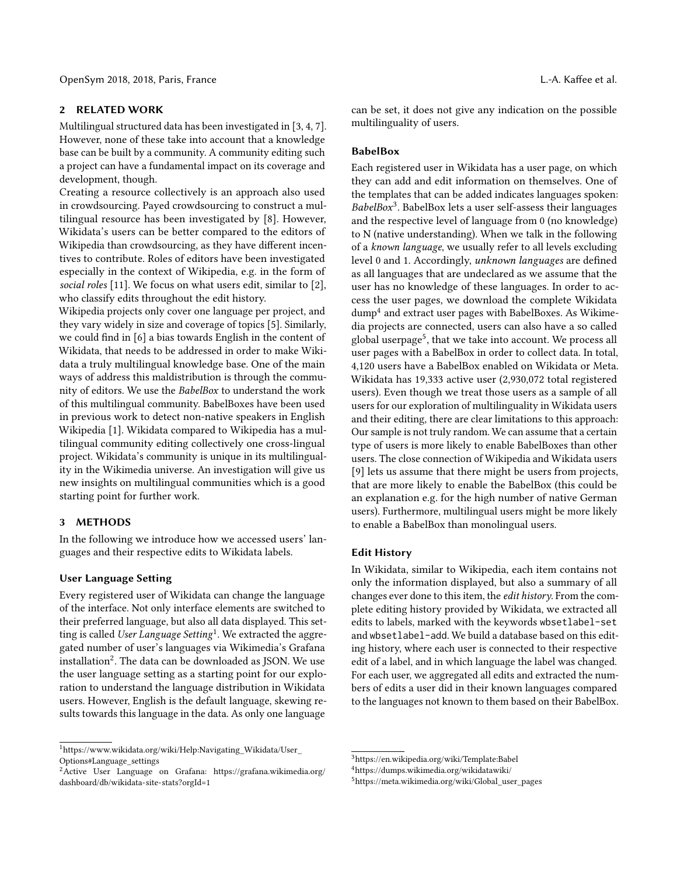# 2 RELATED WORK

Multilingual structured data has been investigated in [\[3,](#page-4-3) [4,](#page-4-4) [7\]](#page-4-5). However, none of these take into account that a knowledge base can be built by a community. A community editing such a project can have a fundamental impact on its coverage and development, though.

Creating a resource collectively is an approach also used in crowdsourcing. Payed crowdsourcing to construct a multilingual resource has been investigated by [\[8\]](#page-4-6). However, Wikidata's users can be better compared to the editors of Wikipedia than crowdsourcing, as they have different incentives to contribute. Roles of editors have been investigated especially in the context of Wikipedia, e.g. in the form of social roles [\[11\]](#page-4-7). We focus on what users edit, similar to [\[2\]](#page-4-8), who classify edits throughout the edit history.

Wikipedia projects only cover one language per project, and they vary widely in size and coverage of topics [\[5\]](#page-4-9). Similarly, we could find in [\[6\]](#page-4-2) a bias towards English in the content of Wikidata, that needs to be addressed in order to make Wikidata a truly multilingual knowledge base. One of the main ways of address this maldistribution is through the community of editors. We use the BabelBox to understand the work of this multilingual community. BabelBoxes have been used in previous work to detect non-native speakers in English Wikipedia [\[1\]](#page-4-10). Wikidata compared to Wikipedia has a multilingual community editing collectively one cross-lingual project. Wikidata's community is unique in its multilinguality in the Wikimedia universe. An investigation will give us new insights on multilingual communities which is a good starting point for further work.

## 3 METHODS

In the following we introduce how we accessed users' languages and their respective edits to Wikidata labels.

## User Language Setting

Every registered user of Wikidata can change the language of the interface. Not only interface elements are switched to their preferred language, but also all data displayed. This set-ting is called User Language Setting<sup>[1](#page-1-0)</sup>. We extracted the aggregated number of user's languages via Wikimedia's Grafana installation $^2$  $^2$ . The data can be downloaded as JSON. We use the user language setting as a starting point for our exploration to understand the language distribution in Wikidata users. However, English is the default language, skewing results towards this language in the data. As only one language

can be set, it does not give any indication on the possible multilinguality of users.

#### BabelBox

Each registered user in Wikidata has a user page, on which they can add and edit information on themselves. One of the templates that can be added indicates languages spoken: BabelBox<sup>[3](#page-1-2)</sup>. BabelBox lets a user self-assess their languages and the respective level of language from 0 (no knowledge) to N (native understanding). When we talk in the following of a known language, we usually refer to all levels excluding level 0 and 1. Accordingly, unknown languages are defined as all languages that are undeclared as we assume that the user has no knowledge of these languages. In order to access the user pages, we download the complete Wikidata dump[4](#page-1-3) and extract user pages with BabelBoxes. As Wikimedia projects are connected, users can also have a so called global userpage<sup>[5](#page-1-4)</sup>, that we take into account. We process all user pages with a BabelBox in order to collect data. In total, 4,120 users have a BabelBox enabled on Wikidata or Meta. Wikidata has 19,333 active user (2,930,072 total registered users). Even though we treat those users as a sample of all users for our exploration of multilinguality in Wikidata users and their editing, there are clear limitations to this approach: Our sample is not truly random. We can assume that a certain type of users is more likely to enable BabelBoxes than other users. The close connection of Wikipedia and Wikidata users [\[9\]](#page-4-11) lets us assume that there might be users from projects, that are more likely to enable the BabelBox (this could be an explanation e.g. for the high number of native German users). Furthermore, multilingual users might be more likely to enable a BabelBox than monolingual users.

#### Edit History

In Wikidata, similar to Wikipedia, each item contains not only the information displayed, but also a summary of all changes ever done to this item, the edit history. From the complete editing history provided by Wikidata, we extracted all edits to labels, marked with the keywords wbsetlabel-set and wbsetlabel-add. We build a database based on this editing history, where each user is connected to their respective edit of a label, and in which language the label was changed. For each user, we aggregated all edits and extracted the numbers of edits a user did in their known languages compared to the languages not known to them based on their BabelBox.

<span id="page-1-0"></span><sup>1</sup>[https://www.wikidata.org/wiki/Help:Navigating\\_Wikidata/User\\_](https://www.wikidata.org/wiki/Help:Navigating_Wikidata/User_Options#Language_settings) [Options#Language\\_settings](https://www.wikidata.org/wiki/Help:Navigating_Wikidata/User_Options#Language_settings)

<span id="page-1-1"></span> ${}^{2}$ Active User Language on Grafana: [https://grafana.wikimedia.org/](https://grafana.wikimedia.org/dashboard/db/wikidata-site-stats?orgId=1) [dashboard/db/wikidata-site-stats?orgId=1](https://grafana.wikimedia.org/dashboard/db/wikidata-site-stats?orgId=1)

<span id="page-1-2"></span><sup>3</sup><https://en.wikipedia.org/wiki/Template:Babel>

<span id="page-1-3"></span><sup>4</sup><https://dumps.wikimedia.org/wikidatawiki/>

<span id="page-1-4"></span><sup>5</sup>[https://meta.wikimedia.org/wiki/Global\\_user\\_pages](https://meta.wikimedia.org/wiki/Global_user_pages)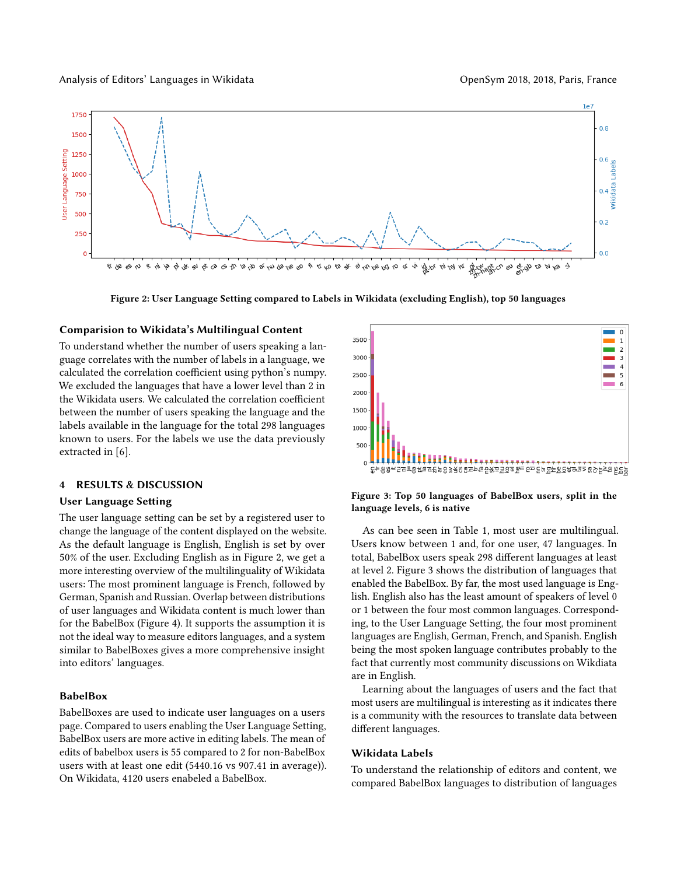#### Analysis of Editors' Languages in Wikidata **OpenSym 2018, 2018, Paris, France** OpenSym 2018, 2018, Paris, France

<span id="page-2-0"></span>

Figure 2: User Language Setting compared to Labels in Wikidata (excluding English), top 50 languages

#### Comparision to Wikidata's Multilingual Content

To understand whether the number of users speaking a language correlates with the number of labels in a language, we calculated the correlation coefficient using python's numpy. We excluded the languages that have a lower level than 2 in the Wikidata users. We calculated the correlation coefficient between the number of users speaking the language and the labels available in the language for the total 298 languages known to users. For the labels we use the data previously extracted in [\[6\]](#page-4-2).

#### 4 RESULTS & DISCUSSION

#### User Language Setting

The user language setting can be set by a registered user to change the language of the content displayed on the website. As the default language is English, English is set by over 50% of the user. Excluding English as in Figure [2,](#page-2-0) we get a more interesting overview of the multilinguality of Wikidata users: The most prominent language is French, followed by German, Spanish and Russian. Overlap between distributions of user languages and Wikidata content is much lower than for the BabelBox (Figure [4\)](#page-3-0). It supports the assumption it is not the ideal way to measure editors languages, and a system similar to BabelBoxes gives a more comprehensive insight into editors' languages.

#### BabelBox

BabelBoxes are used to indicate user languages on a users page. Compared to users enabling the User Language Setting, BabelBox users are more active in editing labels. The mean of edits of babelbox users is 55 compared to 2 for non-BabelBox users with at least one edit (5440.16 vs 907.41 in average)). On Wikidata, 4120 users enabeled a BabelBox.

<span id="page-2-1"></span>

Figure 3: Top 50 languages of BabelBox users, split in the language levels, 6 is native

As can bee seen in Table [1,](#page-3-1) most user are multilingual. Users know between 1 and, for one user, 47 languages. In total, BabelBox users speak 298 different languages at least at level 2. Figure [3](#page-2-1) shows the distribution of languages that enabled the BabelBox. By far, the most used language is English. English also has the least amount of speakers of level 0 or 1 between the four most common languages. Corresponding, to the User Language Setting, the four most prominent languages are English, German, French, and Spanish. English being the most spoken language contributes probably to the fact that currently most community discussions on Wikdiata are in English.

Learning about the languages of users and the fact that most users are multilingual is interesting as it indicates there is a community with the resources to translate data between different languages.

#### Wikidata Labels

To understand the relationship of editors and content, we compared BabelBox languages to distribution of languages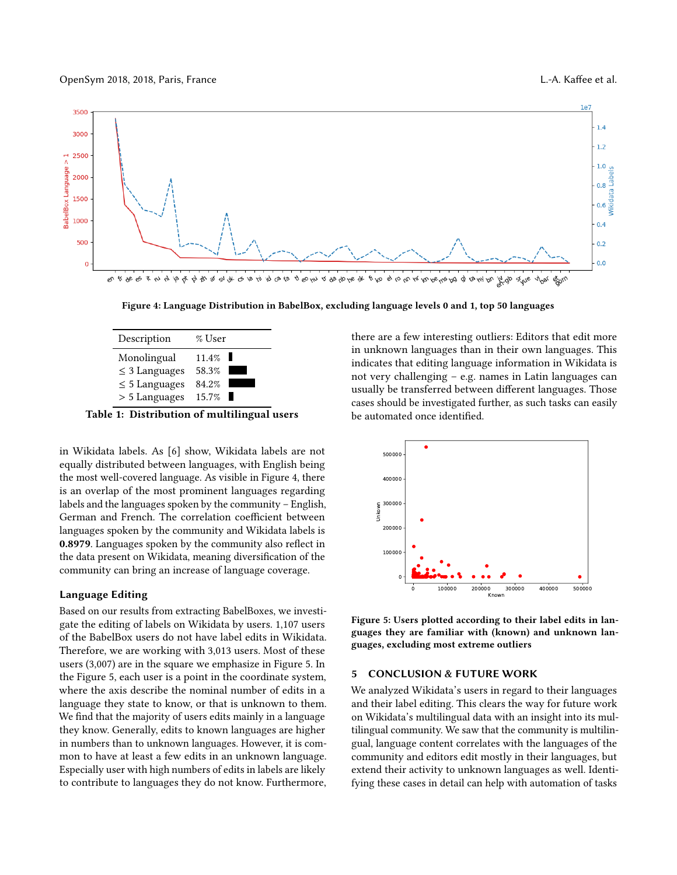OpenSym 2018, 2018, Paris, France L.-A. Kaffee et al.

<span id="page-3-0"></span>

Figure 4: Language Distribution in BabelBox, excluding language levels 0 and 1, top 50 languages

<span id="page-3-1"></span>

| Description        | % User                                      |  |
|--------------------|---------------------------------------------|--|
| Monolingual        | 11.4%                                       |  |
| $\leq$ 3 Languages | 58.3%                                       |  |
| $\leq 5$ Languages | 84.2%                                       |  |
| > 5 Languages      | 15.7%                                       |  |
|                    | Table 1: Distribution of multilingual users |  |

![](_page_3_Figure_5.jpeg)

in Wikidata labels. As [\[6\]](#page-4-2) show, Wikidata labels are not equally distributed between languages, with English being the most well-covered language. As visible in Figure [4,](#page-3-0) there is an overlap of the most prominent languages regarding labels and the languages spoken by the community – English, German and French. The correlation coefficient between languages spoken by the community and Wikidata labels is 0.8979. Languages spoken by the community also reflect in the data present on Wikidata, meaning diversification of the community can bring an increase of language coverage.

#### Language Editing

Based on our results from extracting BabelBoxes, we investigate the editing of labels on Wikidata by users. 1,107 users of the BabelBox users do not have label edits in Wikidata. Therefore, we are working with 3,013 users. Most of these users (3,007) are in the square we emphasize in Figure [5.](#page-3-2) In the Figure [5,](#page-3-2) each user is a point in the coordinate system, where the axis describe the nominal number of edits in a language they state to know, or that is unknown to them. We find that the majority of users edits mainly in a language they know. Generally, edits to known languages are higher in numbers than to unknown languages. However, it is common to have at least a few edits in an unknown language. Especially user with high numbers of edits in labels are likely to contribute to languages they do not know. Furthermore,

there are a few interesting outliers: Editors that edit more in unknown languages than in their own languages. This indicates that editing language information in Wikidata is not very challenging – e.g. names in Latin languages can usually be transferred between different languages. Those cases should be investigated further, as such tasks can easily be automated once identified.

<span id="page-3-2"></span>![](_page_3_Figure_10.jpeg)

Figure 5: Users plotted according to their label edits in languages they are familiar with (known) and unknown languages, excluding most extreme outliers

## 5 CONCLUSION & FUTURE WORK

We analyzed Wikidata's users in regard to their languages and their label editing. This clears the way for future work on Wikidata's multilingual data with an insight into its multilingual community. We saw that the community is multilingual, language content correlates with the languages of the community and editors edit mostly in their languages, but extend their activity to unknown languages as well. Identifying these cases in detail can help with automation of tasks